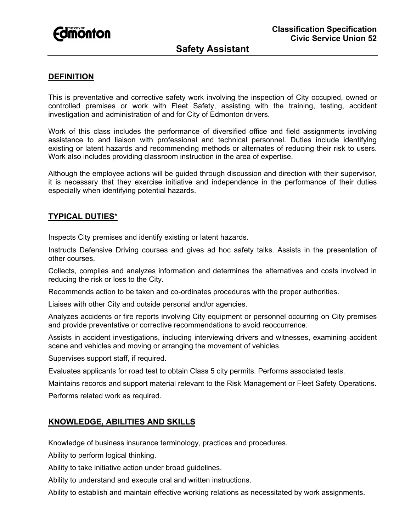

## **DEFINITION**

This is preventative and corrective safety work involving the inspection of City occupied, owned or controlled premises or work with Fleet Safety, assisting with the training, testing, accident investigation and administration of and for City of Edmonton drivers.

Work of this class includes the performance of diversified office and field assignments involving assistance to and liaison with professional and technical personnel. Duties include identifying existing or latent hazards and recommending methods or alternates of reducing their risk to users. Work also includes providing classroom instruction in the area of expertise.

Although the employee actions will be guided through discussion and direction with their supervisor, it is necessary that they exercise initiative and independence in the performance of their duties especially when identifying potential hazards.

### **TYPICAL DUTIES**\*

Inspects City premises and identify existing or latent hazards.

Instructs Defensive Driving courses and gives ad hoc safety talks. Assists in the presentation of other courses.

Collects, compiles and analyzes information and determines the alternatives and costs involved in reducing the risk or loss to the City.

Recommends action to be taken and co-ordinates procedures with the proper authorities.

Liaises with other City and outside personal and/or agencies.

Analyzes accidents or fire reports involving City equipment or personnel occurring on City premises and provide preventative or corrective recommendations to avoid reoccurrence.

Assists in accident investigations, including interviewing drivers and witnesses, examining accident scene and vehicles and moving or arranging the movement of vehicles.

Supervises support staff, if required.

Evaluates applicants for road test to obtain Class 5 city permits. Performs associated tests.

Maintains records and support material relevant to the Risk Management or Fleet Safety Operations.

Performs related work as required.

### **KNOWLEDGE, ABILITIES AND SKILLS**

Knowledge of business insurance terminology, practices and procedures.

Ability to perform logical thinking.

Ability to take initiative action under broad guidelines.

Ability to understand and execute oral and written instructions.

Ability to establish and maintain effective working relations as necessitated by work assignments.